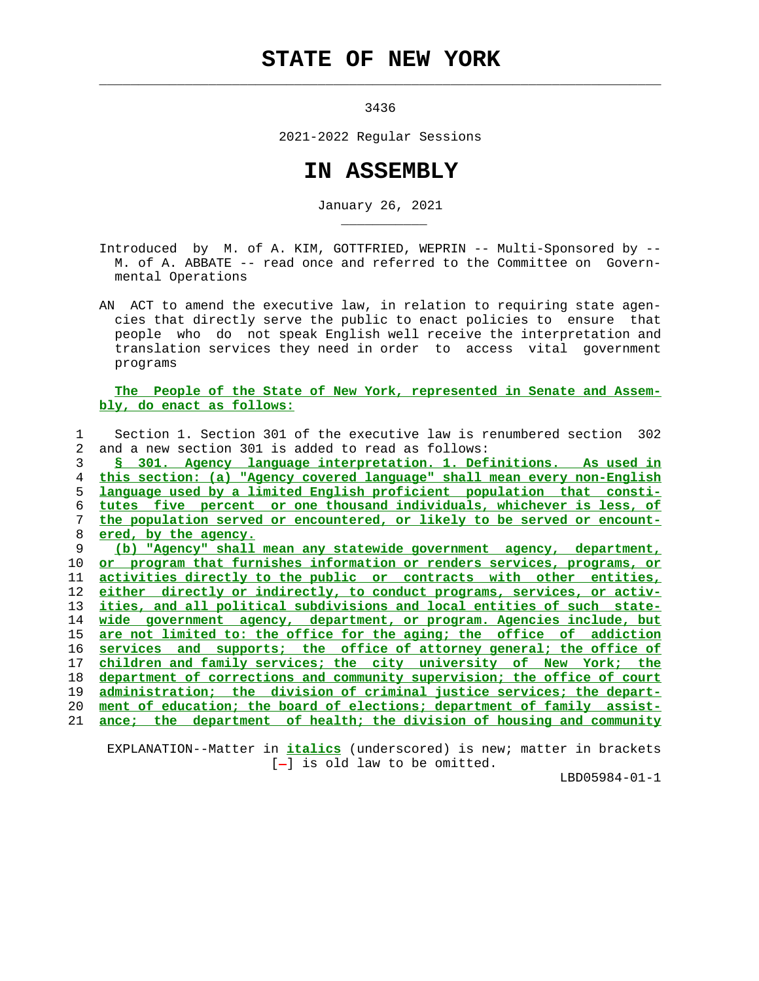## **STATE OF NEW YORK**

 $\mathcal{L}_\text{max} = \frac{1}{2} \sum_{i=1}^{n} \frac{1}{2} \sum_{i=1}^{n} \frac{1}{2} \sum_{i=1}^{n} \frac{1}{2} \sum_{i=1}^{n} \frac{1}{2} \sum_{i=1}^{n} \frac{1}{2} \sum_{i=1}^{n} \frac{1}{2} \sum_{i=1}^{n} \frac{1}{2} \sum_{i=1}^{n} \frac{1}{2} \sum_{i=1}^{n} \frac{1}{2} \sum_{i=1}^{n} \frac{1}{2} \sum_{i=1}^{n} \frac{1}{2} \sum_{i=1}^{n} \frac{1$ 

\_\_\_\_\_\_\_\_\_\_\_

3436

2021-2022 Regular Sessions

## **IN ASSEMBLY**

January 26, 2021

 Introduced by M. of A. KIM, GOTTFRIED, WEPRIN -- Multi-Sponsored by -- M. of A. ABBATE -- read once and referred to the Committee on Govern mental Operations

 AN ACT to amend the executive law, in relation to requiring state agen cies that directly serve the public to enact policies to ensure that people who do not speak English well receive the interpretation and translation services they need in order to access vital government programs

## **The People of the State of New York, represented in Senate and Assem bly, do enact as follows:**

 1 Section 1. Section 301 of the executive law is renumbered section 302 2 and a new section 301 is added to read as follows: **§ 301. Agency language interpretation. 1. Definitions. As used in this section: (a) "Agency covered language" shall mean every non-English language used by a limited English proficient population that consti- tutes five percent or one thousand individuals, whichever is less, of the population served or encountered, or likely to be served or encount- ered, by the agency. (b) "Agency" shall mean any statewide government agency, department, or program that furnishes information or renders services, programs, or activities directly to the public or contracts with other entities, either directly or indirectly, to conduct programs, services, or activ- ities, and all political subdivisions and local entities of such state- wide government agency, department, or program. Agencies include, but are not limited to: the office for the aging; the office of addiction services and supports; the office of attorney general; the office of children and family services; the city university of New York; the department of corrections and community supervision; the office of court administration; the division of criminal justice services; the depart- ment of education; the board of elections; department of family assist- ance; the department of health; the division of housing and community**

 EXPLANATION--Matter in **italics** (underscored) is new; matter in brackets  $[-]$  is old law to be omitted.

LBD05984-01-1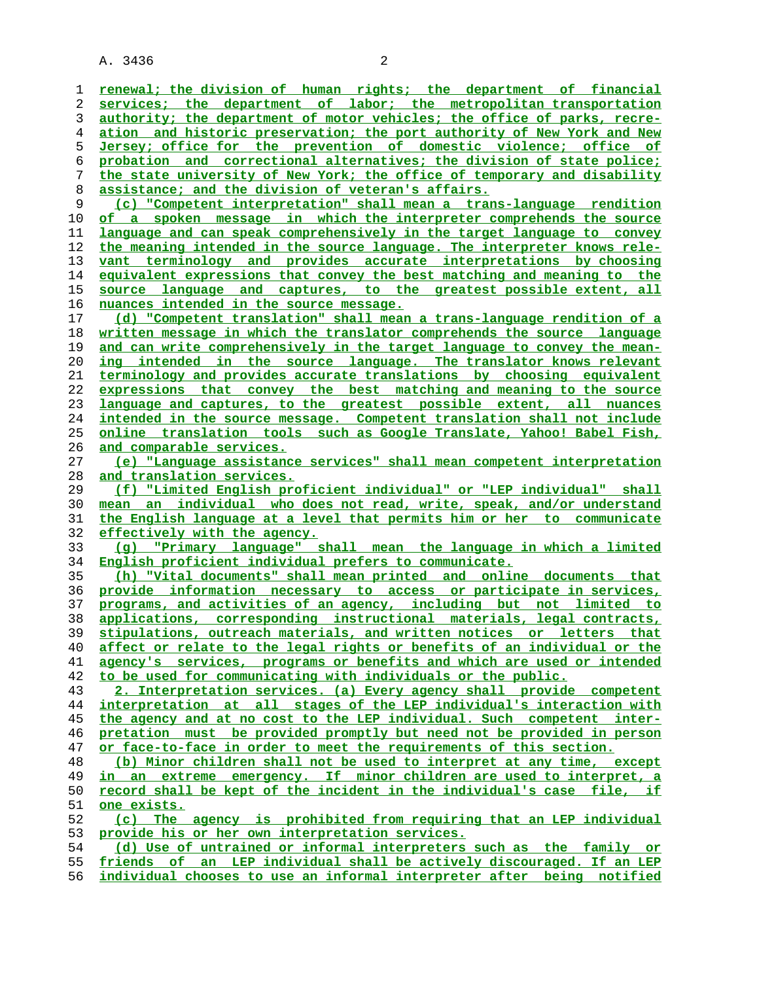**renewal; the division of human rights; the department of financial services; the department of labor; the metropolitan transportation authority; the department of motor vehicles; the office of parks, recre- ation and historic preservation; the port authority of New York and New Jersey; office for the prevention of domestic violence; office of probation and correctional alternatives; the division of state police; the state university of New York; the office of temporary and disability assistance; and the division of veteran's affairs. (c) "Competent interpretation" shall mean a trans-language rendition of a spoken message in which the interpreter comprehends the source language and can speak comprehensively in the target language to convey the meaning intended in the source language. The interpreter knows rele- vant terminology and provides accurate interpretations by choosing equivalent expressions that convey the best matching and meaning to the source language and captures, to the greatest possible extent, all nuances intended in the source message. (d) "Competent translation" shall mean a trans-language rendition of a written message in which the translator comprehends the source language and can write comprehensively in the target language to convey the mean- ing intended in the source language. The translator knows relevant terminology and provides accurate translations by choosing equivalent expressions that convey the best matching and meaning to the source language and captures, to the greatest possible extent, all nuances intended in the source message. Competent translation shall not include online translation tools such as Google Translate, Yahoo! Babel Fish, and comparable services. (e) "Language assistance services" shall mean competent interpretation and translation services. (f) "Limited English proficient individual" or "LEP individual" shall mean an individual who does not read, write, speak, and/or understand the English language at a level that permits him or her to communicate effectively with the agency. (g) "Primary language" shall mean the language in which a limited English proficient individual prefers to communicate. (h) "Vital documents" shall mean printed and online documents that provide information necessary to access or participate in services, programs, and activities of an agency, including but not limited to applications, corresponding instructional materials, legal contracts, stipulations, outreach materials, and written notices or letters that affect or relate to the legal rights or benefits of an individual or the agency's services, programs or benefits and which are used or intended to be used for communicating with individuals or the public. 2. Interpretation services. (a) Every agency shall provide competent interpretation at all stages of the LEP individual's interaction with the agency and at no cost to the LEP individual. Such competent inter- pretation must be provided promptly but need not be provided in person or face-to-face in order to meet the requirements of this section. (b) Minor children shall not be used to interpret at any time, except in an extreme emergency. If minor children are used to interpret, a record shall be kept of the incident in the individual's case file, if one exists. (c) The agency is prohibited from requiring that an LEP individual provide his or her own interpretation services. (d) Use of untrained or informal interpreters such as the family or friends of an LEP individual shall be actively discouraged. If an LEP individual chooses to use an informal interpreter after being notified**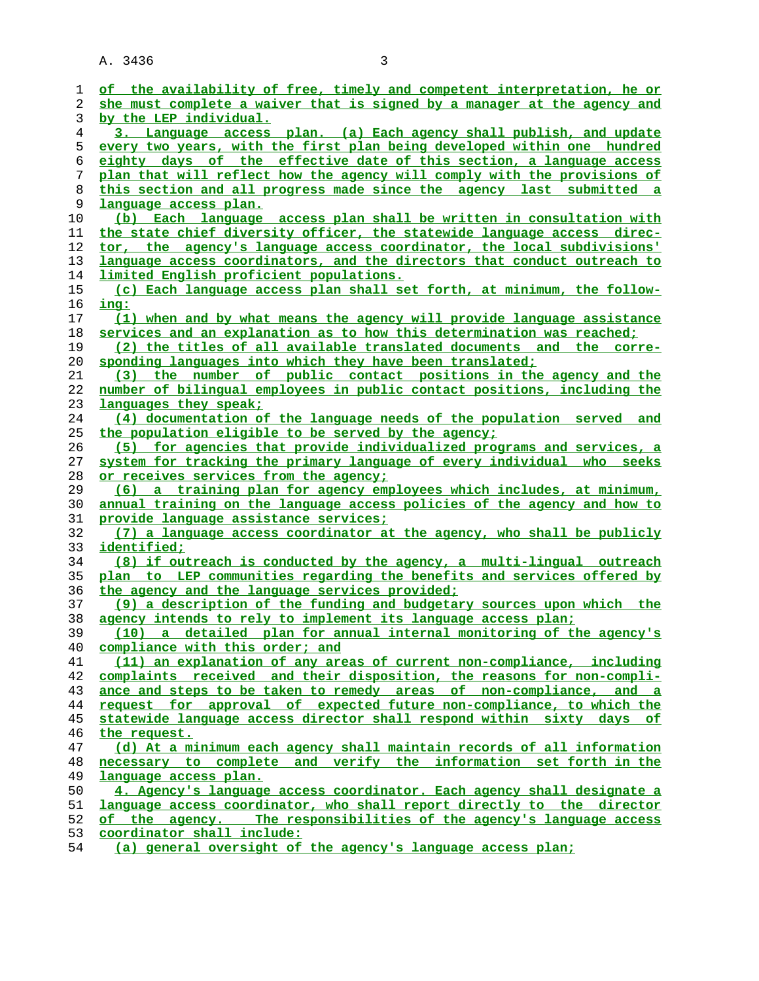| 1        | of the availability of free, timely and competent interpretation, he or                                   |
|----------|-----------------------------------------------------------------------------------------------------------|
| 2        | she must complete a waiver that is signed by a manager at the agency and                                  |
| 3        | by the LEP individual.                                                                                    |
| 4        | 3. Language access plan. (a) Each agency shall publish, and update                                        |
| 5        | every two years, with the first plan being developed within one hundred                                   |
| 6        | eighty days of the effective date of this section, a language access                                      |
| 7        | plan that will reflect how the agency will comply with the provisions of                                  |
| 8        | this section and all progress made since the agency last submitted a                                      |
| 9        | language access plan.                                                                                     |
| 10       | (b) Each language access plan shall be written in consultation with                                       |
| 11       | the state chief diversity officer, the statewide language access direc-                                   |
| 12       | tor, the agency's language access coordinator, the local subdivisions'                                    |
| 13       | language access coordinators, and the directors that conduct outreach to                                  |
| 14       | limited English proficient populations.                                                                   |
| 15       | (c) Each language access plan shall set forth, at minimum, the follow-                                    |
| 16       | ing:                                                                                                      |
| 17       | (1) when and by what means the agency will provide language assistance                                    |
| 18       | services and an explanation as to how this determination was reached;                                     |
| 19       | (2) the titles of all available translated documents and the corre-                                       |
| 20       | sponding languages into which they have been translated;                                                  |
| 21       | (3) the number of public contact positions in the agency and the                                          |
| 22       | number of bilingual employees in public contact positions, including the                                  |
| 23       | languages they speak;                                                                                     |
| 24       | (4) documentation of the language needs of the population served<br>and                                   |
| 25       | the population eligible to be served by the agency;                                                       |
| 26       | (5) for agencies that provide individualized programs and services, a                                     |
| 27       | system for tracking the primary language of every individual who seeks                                    |
| 28       | or receives services from the agency;                                                                     |
| 29       | (6) a training plan for agency employees which includes, at minimum,                                      |
| 30       | annual training on the language access policies of the agency and how to                                  |
| 31       | <u>provide language assistance services;</u>                                                              |
| 32       | (7) a language access coordinator at the agency, who shall be publicly                                    |
| 33       | identified;                                                                                               |
| 34       | (8) if outreach is conducted by the agency, a multi-lingual outreach                                      |
| 35       | plan to LEP communities regarding the benefits and services offered by                                    |
| 36       | the agency and the language services provided;                                                            |
| 37       | (9) a description of the funding and budgetary sources upon which the                                     |
| 38       | agency intends to rely to implement its language access plan;                                             |
| 39<br>40 | a detailed plan for annual internal monitoring of the agency's<br>(10)<br>compliance with this order; and |
| 41       | (11) an explanation of any areas of current non-compliance, including                                     |
| 42       | complaints received and their disposition, the reasons for non-compli-                                    |
| 43       | ance and steps to be taken to remedy areas of non-compliance, and a                                       |
| 44       | request for approval of expected future non-compliance, to which the                                      |
| 45       | statewide language access director shall respond within sixty days of                                     |
| 46       | the request.                                                                                              |
| 47       | (d) At a minimum each agency shall maintain records of all information                                    |
| 48       | necessary to complete and verify the information set forth in the                                         |
| 49       | language access plan.                                                                                     |
| 50       | 4. Agency's language access coordinator. Each agency shall designate a                                    |
| 51       | language access coordinator, who shall report directly to the director                                    |
| 52       | of the agency. The responsibilities of the agency's language access                                       |
| 53       | coordinator shall include:                                                                                |

**(a) general oversight of the agency's language access plan;**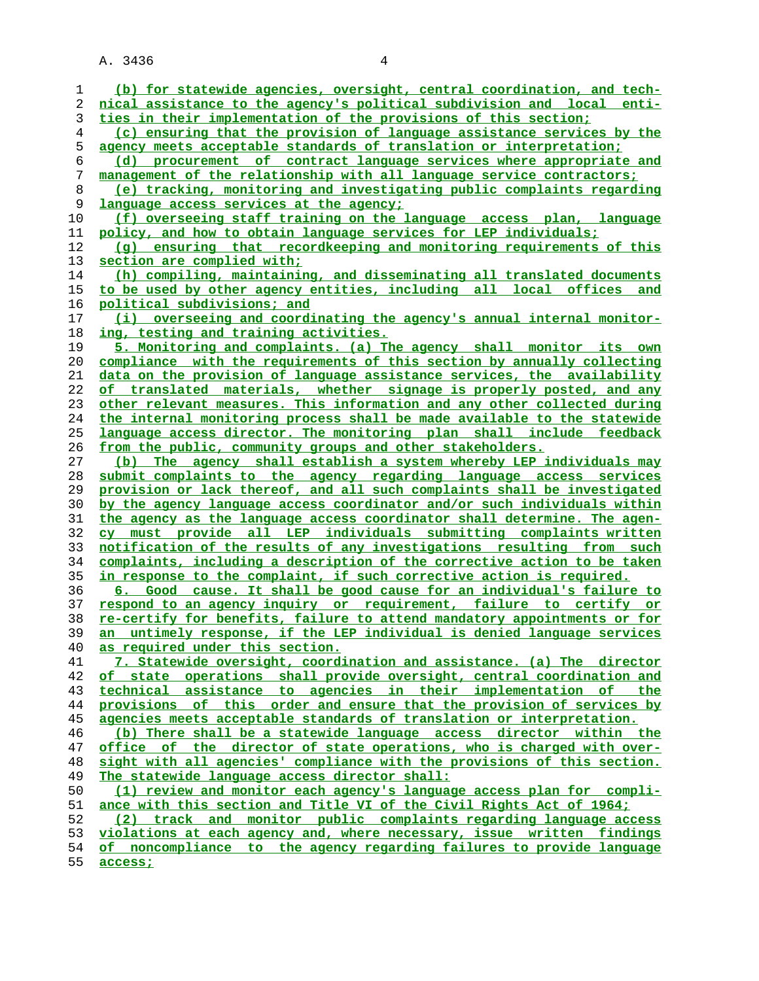| 1  | (b) for statewide agencies, oversight, central coordination, and tech-   |
|----|--------------------------------------------------------------------------|
| 2  | nical assistance to the agency's political subdivision and local enti-   |
| 3  | ties in their implementation of the provisions of this section;          |
| 4  | (c) ensuring that the provision of language assistance services by the   |
| 5  | agency meets acceptable standards of translation or interpretation;      |
| 6  | (d) procurement of contract language services where appropriate and      |
| 7  | management of the relationship with all language service contractors;    |
| 8  | (e) tracking, monitoring and investigating public complaints regarding   |
| 9  | language access services at the agency;                                  |
| 10 | (f) overseeing staff training on the language access plan, language      |
| 11 | policy, and how to obtain language services for LEP individuals;         |
| 12 | (q) ensuring that recordkeeping and monitoring requirements of this      |
| 13 | section are complied with;                                               |
| 14 | (h) compiling, maintaining, and disseminating all translated documents   |
| 15 | to be used by other agency entities, including all local offices and     |
| 16 | political subdivisions; and                                              |
| 17 | (i) overseeing and coordinating the agency's annual internal monitor-    |
| 18 | ing, testing and training activities.                                    |
| 19 | 5. Monitoring and complaints. (a) The agency shall monitor its own       |
| 20 | compliance with the requirements of this section by annually collecting  |
| 21 | data on the provision of language assistance services, the availability  |
| 22 | of translated materials, whether signage is properly posted, and any     |
| 23 | other relevant measures. This information and any other collected during |
| 24 | the internal monitoring process shall be made available to the statewide |
| 25 | language access director. The monitoring plan shall include feedback     |
| 26 | from the public, community groups and other stakeholders.                |
| 27 | The agency shall establish a system whereby LEP individuals may<br>(b)   |
| 28 | submit complaints to the agency regarding language access services       |
| 29 | provision or lack thereof, and all such complaints shall be investigated |
| 30 | by the agency language access coordinator and/or such individuals within |
| 31 | the agency as the language access coordinator shall determine. The agen- |
| 32 | cy must provide all LEP individuals submitting complaints written        |
| 33 | notification of the results of any investigations resulting from such    |
| 34 | complaints, including a description of the corrective action to be taken |
| 35 | in response to the complaint, if such corrective action is required.     |
| 36 | 6. Good cause. It shall be good cause for an individual's failure to     |
| 37 | respond to an agency inquiry or requirement, failure to certify or       |
| 38 | re-certify for benefits, failure to attend mandatory appointments or for |
| 39 | an untimely response, if the LEP individual is denied language services  |
| 40 | as required under this section.                                          |
| 41 | 7. Statewide oversight, coordination and assistance. (a) The director    |
| 42 | of state operations shall provide oversight, central coordination and    |
| 43 | technical assistance to agencies in their implementation of the          |
| 44 | provisions of this order and ensure that the provision of services by    |
| 45 | agencies meets acceptable standards of translation or interpretation.    |
| 46 | (b) There shall be a statewide language access director within the       |
| 47 | office of the director of state operations, who is charged with over-    |
| 48 | sight with all agencies' compliance with the provisions of this section. |
| 49 | The statewide language access director shall:                            |
| 50 | (1) review and monitor each agency's language access plan for compli-    |
| 51 | ance with this section and Title VI of the Civil Rights Act of 1964;     |
| 52 | (2) track and monitor public complaints regarding language access        |
| 53 | violations at each agency and, where necessary, issue written findings   |
| 54 | of noncompliance to the agency regarding failures to provide language    |
|    |                                                                          |

**access;**